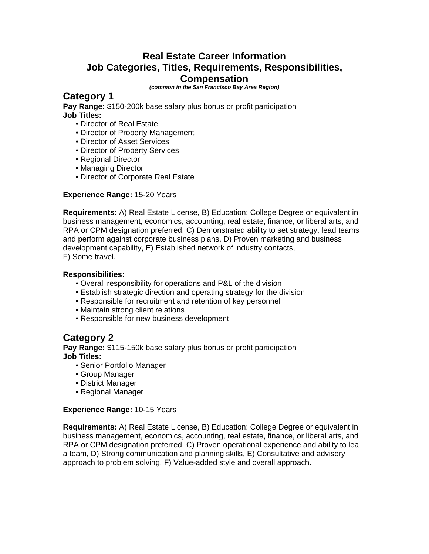### **Real Estate Career Information Job Categories, Titles, Requirements, Responsibilities, Compensation**

*(common in the San Francisco Bay Area Region)*

### **Category 1**

**Pay Range:** \$150-200k base salary plus bonus or profit participation **Job Titles:** 

- Director of Real Estate
- Director of Property Management
- Director of Asset Services
- Director of Property Services
- Regional Director
- Managing Director
- Director of Corporate Real Estate

#### **Experience Range:** 15-20 Years

**Requirements:** A) Real Estate License, B) Education: College Degree or equivalent in business management, economics, accounting, real estate, finance, or liberal arts, and RPA or CPM designation preferred, C) Demonstrated ability to set strategy, lead teams and perform against corporate business plans, D) Proven marketing and business development capability, E) Established network of industry contacts, F) Some travel.

#### **Responsibilities:**

- Overall responsibility for operations and P&L of the division
- Establish strategic direction and operating strategy for the division
- Responsible for recruitment and retention of key personnel
- Maintain strong client relations
- Responsible for new business development

### **Category 2**

**Pay Range:** \$115-150k base salary plus bonus or profit participation **Job Titles:** 

- Senior Portfolio Manager
- Group Manager
- District Manager
- Regional Manager

#### **Experience Range:** 10-15 Years

**Requirements:** A) Real Estate License, B) Education: College Degree or equivalent in business management, economics, accounting, real estate, finance, or liberal arts, and RPA or CPM designation preferred, C) Proven operational experience and ability to lea a team, D) Strong communication and planning skills, E) Consultative and advisory approach to problem solving, F) Value-added style and overall approach.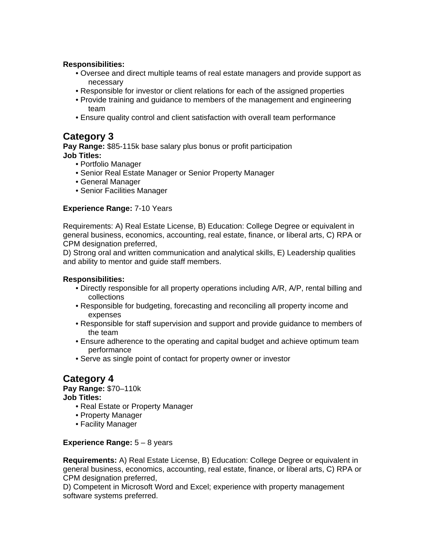- Oversee and direct multiple teams of real estate managers and provide support as necessary
- Responsible for investor or client relations for each of the assigned properties
- Provide training and guidance to members of the management and engineering team
- Ensure quality control and client satisfaction with overall team performance

### **Category 3**

**Pay Range:** \$85-115k base salary plus bonus or profit participation **Job Titles:** 

- Portfolio Manager
- Senior Real Estate Manager or Senior Property Manager
- General Manager
- Senior Facilities Manager

#### **Experience Range:** 7-10 Years

Requirements: A) Real Estate License, B) Education: College Degree or equivalent in general business, economics, accounting, real estate, finance, or liberal arts, C) RPA or CPM designation preferred,

D) Strong oral and written communication and analytical skills, E) Leadership qualities and ability to mentor and guide staff members.

#### **Responsibilities:**

- Directly responsible for all property operations including A/R, A/P, rental billing and collections
- Responsible for budgeting, forecasting and reconciling all property income and expenses
- Responsible for staff supervision and support and provide guidance to members of the team
- Ensure adherence to the operating and capital budget and achieve optimum team performance
- Serve as single point of contact for property owner or investor

# **Category 4**

**Pay Range:** \$70–110k **Job Titles:** 

- Real Estate or Property Manager
- Property Manager
- Facility Manager

#### **Experience Range:** 5 – 8 years

**Requirements:** A) Real Estate License, B) Education: College Degree or equivalent in general business, economics, accounting, real estate, finance, or liberal arts, C) RPA or CPM designation preferred,

D) Competent in Microsoft Word and Excel; experience with property management software systems preferred.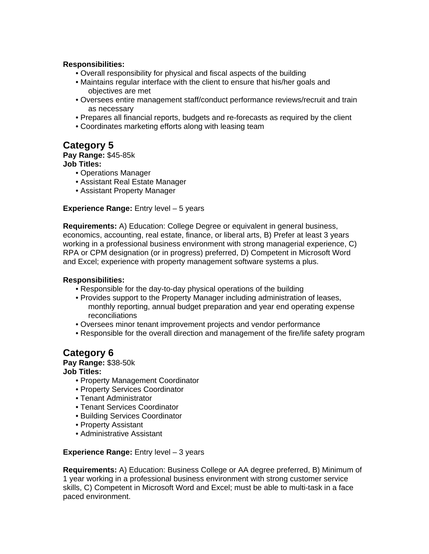- Overall responsibility for physical and fiscal aspects of the building
- Maintains regular interface with the client to ensure that his/her goals and objectives are met
- Oversees entire management staff/conduct performance reviews/recruit and train as necessary
- Prepares all financial reports, budgets and re-forecasts as required by the client
- Coordinates marketing efforts along with leasing team

## **Category 5**

#### **Pay Range:** \$45-85k

**Job Titles:** 

- Operations Manager
- Assistant Real Estate Manager
- Assistant Property Manager

#### **Experience Range:** Entry level – 5 years

**Requirements:** A) Education: College Degree or equivalent in general business, economics, accounting, real estate, finance, or liberal arts, B) Prefer at least 3 years working in a professional business environment with strong managerial experience, C) RPA or CPM designation (or in progress) preferred, D) Competent in Microsoft Word and Excel; experience with property management software systems a plus.

#### **Responsibilities:**

- Responsible for the day-to-day physical operations of the building
- Provides support to the Property Manager including administration of leases, monthly reporting, annual budget preparation and year end operating expense reconciliations
- Oversees minor tenant improvement projects and vendor performance
- Responsible for the overall direction and management of the fire/life safety program

### **Category 6**

**Pay Range:** \$38-50k

**Job Titles:** 

- Property Management Coordinator
- Property Services Coordinator
- Tenant Administrator
- Tenant Services Coordinator
- Building Services Coordinator
- Property Assistant
- Administrative Assistant

#### **Experience Range:** Entry level – 3 years

**Requirements:** A) Education: Business College or AA degree preferred, B) Minimum of 1 year working in a professional business environment with strong customer service skills, C) Competent in Microsoft Word and Excel; must be able to multi-task in a face paced environment.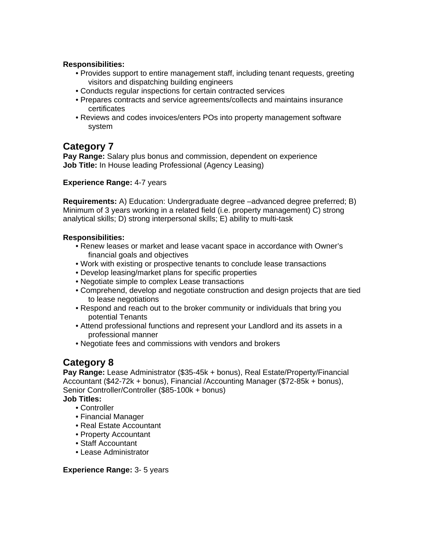- Provides support to entire management staff, including tenant requests, greeting visitors and dispatching building engineers
- Conducts regular inspections for certain contracted services
- Prepares contracts and service agreements/collects and maintains insurance certificates
- Reviews and codes invoices/enters POs into property management software system

### **Category 7**

**Pay Range:** Salary plus bonus and commission, dependent on experience **Job Title:** In House leading Professional (Agency Leasing)

#### **Experience Range:** 4-7 years

**Requirements:** A) Education: Undergraduate degree –advanced degree preferred; B) Minimum of 3 years working in a related field (i.e. property management) C) strong analytical skills; D) strong interpersonal skills; E) ability to multi-task

#### **Responsibilities:**

- Renew leases or market and lease vacant space in accordance with Owner's financial goals and objectives
- Work with existing or prospective tenants to conclude lease transactions
- Develop leasing/market plans for specific properties
- Negotiate simple to complex Lease transactions
- Comprehend, develop and negotiate construction and design projects that are tied to lease negotiations
- Respond and reach out to the broker community or individuals that bring you potential Tenants
- Attend professional functions and represent your Landlord and its assets in a professional manner
- Negotiate fees and commissions with vendors and brokers

### **Category 8**

**Pay Range:** Lease Administrator (\$35-45k + bonus), Real Estate/Property/Financial Accountant (\$42-72k + bonus), Financial /Accounting Manager (\$72-85k + bonus), Senior Controller/Controller (\$85-100k + bonus)

#### **Job Titles:**

- Controller
- Financial Manager
- Real Estate Accountant
- Property Accountant
- Staff Accountant
- Lease Administrator

#### **Experience Range:** 3- 5 years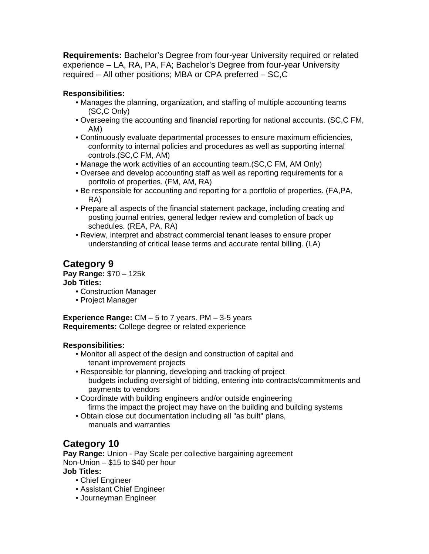**Requirements:** Bachelor's Degree from four-year University required or related experience – LA, RA, PA, FA; Bachelor's Degree from four-year University required – All other positions; MBA or CPA preferred – SC,C

### **Responsibilities:**

- Manages the planning, organization, and staffing of multiple accounting teams (SC,C Only)
- Overseeing the accounting and financial reporting for national accounts. (SC,C FM, AM)
- Continuously evaluate departmental processes to ensure maximum efficiencies, conformity to internal policies and procedures as well as supporting internal controls.(SC,C FM, AM)
- Manage the work activities of an accounting team.(SC,C FM, AM Only)
- Oversee and develop accounting staff as well as reporting requirements for a portfolio of properties. (FM, AM, RA)
- Be responsible for accounting and reporting for a portfolio of properties. (FA,PA, RA)
- Prepare all aspects of the financial statement package, including creating and posting journal entries, general ledger review and completion of back up schedules. (REA, PA, RA)
- Review, interpret and abstract commercial tenant leases to ensure proper understanding of critical lease terms and accurate rental billing. (LA)

## **Category 9**

**Pay Range:** \$70 – 125k

#### **Job Titles:**

- Construction Manager
- Project Manager

**Experience Range:** CM – 5 to 7 years. PM – 3-5 years **Requirements:** College degree or related experience

#### **Responsibilities:**

- Monitor all aspect of the design and construction of capital and tenant improvement projects
- Responsible for planning, developing and tracking of project budgets including oversight of bidding, entering into contracts/commitments and payments to vendors
- Coordinate with building engineers and/or outside engineering firms the impact the project may have on the building and building systems
- Obtain close out documentation including all "as built" plans, manuals and warranties

# **Category 10**

**Pay Range:** Union - Pay Scale per collective bargaining agreement Non-Union – \$15 to \$40 per hour

### **Job Titles:**

- Chief Engineer
- Assistant Chief Engineer
- Journeyman Engineer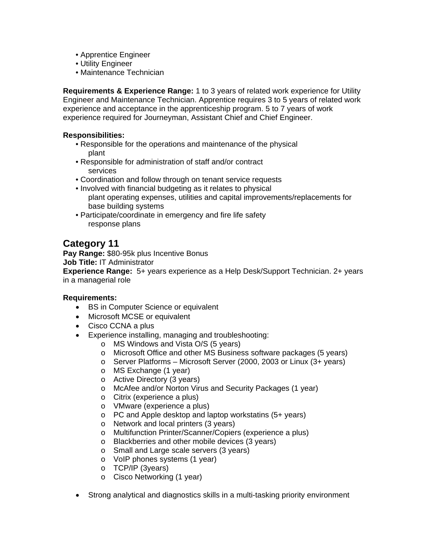- Apprentice Engineer
- Utility Engineer
- Maintenance Technician

**Requirements & Experience Range:** 1 to 3 years of related work experience for Utility Engineer and Maintenance Technician. Apprentice requires 3 to 5 years of related work experience and acceptance in the apprenticeship program. 5 to 7 years of work experience required for Journeyman, Assistant Chief and Chief Engineer.

#### **Responsibilities:**

- Responsible for the operations and maintenance of the physical plant
- Responsible for administration of staff and/or contract services
- Coordination and follow through on tenant service requests
- Involved with financial budgeting as it relates to physical plant operating expenses, utilities and capital improvements/replacements for base building systems
- Participate/coordinate in emergency and fire life safety response plans

### **Category 11**

**Pay Range:** \$80-95k plus Incentive Bonus **Job Title:** IT Administrator

**Experience Range:** 5+ years experience as a Help Desk/Support Technician. 2+ years in a managerial role

#### **Requirements:**

- BS in Computer Science or equivalent
- Microsoft MCSE or equivalent
- Cisco CCNA a plus
- Experience installing, managing and troubleshooting:
	- o MS Windows and Vista O/S (5 years)
	- o Microsoft Office and other MS Business software packages (5 years)
	- o Server Platforms Microsoft Server (2000, 2003 or Linux (3+ years)
	- o MS Exchange (1 year)
	- o Active Directory (3 years)
	- o McAfee and/or Norton Virus and Security Packages (1 year)
	- o Citrix (experience a plus)
	- o VMware (experience a plus)
	- o PC and Apple desktop and laptop workstatins (5+ years)
	- o Network and local printers (3 years)
	- o Multifunction Printer/Scanner/Copiers (experience a plus)
	- o Blackberries and other mobile devices (3 years)
	- o Small and Large scale servers (3 years)
	- o VoIP phones systems (1 year)
	- o TCP/IP (3years)
	- o Cisco Networking (1 year)
- Strong analytical and diagnostics skills in a multi-tasking priority environment